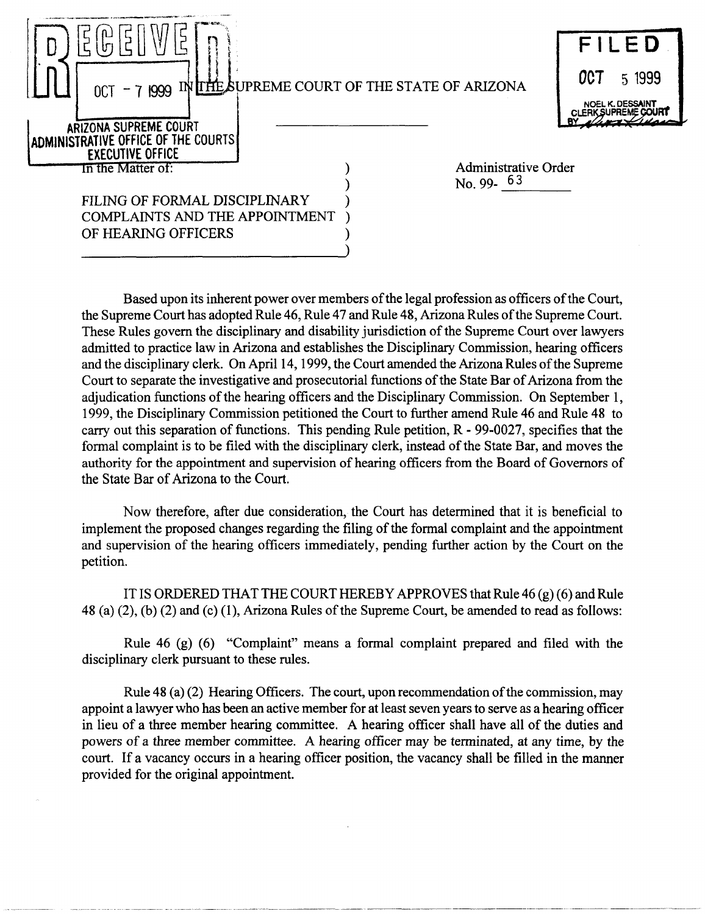|                                                                                                               |                             | FILED                                                                  |
|---------------------------------------------------------------------------------------------------------------|-----------------------------|------------------------------------------------------------------------|
| 0CT - 7 1999 IN LIME SUPREME COURT OF THE STATE OF ARIZONA                                                    |                             | <b>OCT</b><br>5 1999<br>NOEL K. DESSAINT<br><b>CLERK SUPREME COURT</b> |
| ARIZONA SUPREME COURT<br>ADMINISTRATIVE OFFICE OF THE COURTS!<br><b>EXECUTIVE OFFICE</b><br>In the Matter of: | <b>Administrative Order</b> |                                                                        |
|                                                                                                               | No. 99. $63$                |                                                                        |
| FILING OF FORMAL DISCIPLINARY                                                                                 |                             |                                                                        |
| <b>COMPLAINTS AND THE APPOINTMENT</b>                                                                         |                             |                                                                        |
| OF HEARING OFFICERS                                                                                           |                             |                                                                        |

Based upon its inherent power over members of the legal profession as officers of the Court, the Supreme Court has adopted Rule 46, Rule 47 and Rule 48, Arizona Rules of the Supreme Court. These Rules govern the disciplinary and disability jurisdiction of the Supreme Court over lawyers admitted to practice law in Arizona and establishes the Disciplinary Commission, hearing officers and the disciplinary clerk. On April 14, 1999, the Court amended the Arizona Rules of the Supreme Court to separate the investigative and prosecutorial functions of the State Bar of Arizona from the adjudication functions of the hearing officers and the Disciplinary Commission. On September 1, 1999, the Disciplinary Commission petitioned the Court to further amend Rule 46 and Rule 48 to carry out this separation of functions. This pending Rule petition, R - 99-0027, specifies that the formal complaint is to be filed with the disciplinary clerk, instead of the State Bar, and moves the authority for the appointment and supervision of hearing officers from the Board of Governors of the State Bar of Arizona to the Court.

Now therefore, after due consideration, the Court has determined that it is beneficial to implement the proposed changes regarding the filing of the formal complaint and the appointment and supervision of the hearing officers immediately, pending further action by the Court on the petition.

IT IS ORDERED THAT THE COURT HEREBY APPROVES that Rule 46 (g) (6) and Rule 48 (a) (2), (b) (2) and (c) (1), Arizona Rules of the Supreme Court, be amended to read as follows:

Rule 46 (g) (6) "Complaint" means a formal complaint prepared and filed with the disciplinary clerk pursuant to these rules.

Rule 48 (a)  $(2)$  Hearing Officers. The court, upon recommendation of the commission, may appoint a lawyer who has been an active member for at least seven years to serve as a hearing officer in lieu of a three member hearing committee. A hearing officer shall have all of the duties and powers of a three member committee. A hearing officer may be terminated, at any time, by the court. If a vacancy occurs in a hearing officer position, the vacancy shall be filled in the manner provided for the original appointment.